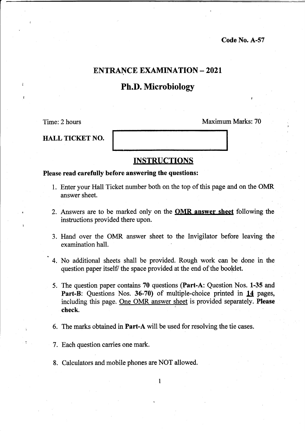# ENTRANCE EXAMINATION - <sup>2021</sup>

# Ph.D. Microbiology

Time:2 hours

Maximum Marks: 70

HALL TICKET NO.

## INSTRUCTIONS

## Please read carefully before answering the questions:

- l. Enter your Hall Ticket number both on the top of this page and on the OMR answer sheet.
- 2. Answers are to be marked only on the **OMR answer sheet** following the instructions provided there upon.
- 3. Hand over the OMR answer sheet to the Invigilator before leaving the examination hall.
- 4. No additional sheets shall be provided. Rough work can be done in the question paper itself the space provided at the end of the booklet.
- 5. The question paper contains 70 questions (Part-A: Question Nos. 1-35 and Part-B: Questions Nos. 36-70) of multiple-choice printed in 14 pages, including this page. One OMR answer sheet is provided separately. Please check.
- 6. The marks obtained in Part-A will be used for resolving the tie cases.
- 7. Each question carries one mark.
- 8. Calculators and mobile phones are NOT allowed.

 $\mathbf{1}$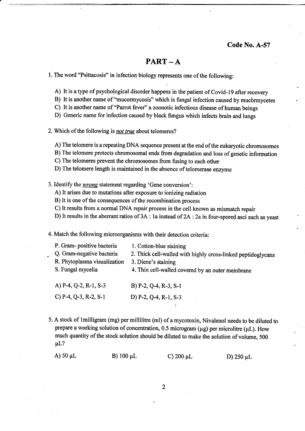## $PART - A$

1. The word "Psittacosis" in infection biology represents one of the following:

A) It is a type of psychological disorder happens in the patient of Covid-19 after recovery

B) It is another name of "mucormycosis" which is fungal infection caused by mucbrmycetes

C) It is another name of "Parrot fever" a zoonotic infectious disease of human beings

D) Generic name for infection caused by black fungus which infects brain and lungs

2. Which of the following is not true about telomeres?

A) The telomere is a repeating DNA sequence present at the end of the eukaryotic chromosomes

B) The telomere protects chromosomal ends from degradation and loss of genetic information

C) The telomeres prevent the chromosomes from fusing to each other

D) The telomere length is maintained in the absence of telomerase enzyme

3. Identify the *wrong* statement regarding 'Gene conversion':

A) It arises due to mutations after exposure to ionizing radiation

B) It is one of the consequences of the recombination process

C) It results from a normal DNA repair process in the cell known as mismatch repair

D) It results in the aberrant ratios of  $3A$ : la instead of  $2A$ :  $2a$  in four-spored asci such as yeast

4. Match the following microorganisms with their detection criteria:

| P. Gram-positive bacteria<br>Q. Gram-negative bacteria<br>R. Phytoplasma visualization<br>S. Fungal mycelia | 1. Cotton-blue staining<br>2. Thick cell-walled with highly cross-linked peptidoglycans<br>3. Diene's staining<br>4. Thin cell-walled covered by an outer membrane |
|-------------------------------------------------------------------------------------------------------------|--------------------------------------------------------------------------------------------------------------------------------------------------------------------|
| A) $P-4$ , $Q-2$ , $R-1$ , $S-3$                                                                            | B) $P-2$ , $Q-4$ , $R-3$ , $S-1$                                                                                                                                   |
| C) $P-4$ , $Q-3$ , $R-2$ , $S-1$                                                                            | D) $P-2$ , Q-4, R-1, S-3                                                                                                                                           |

5. A stock of lmilligram (mg) per millilitre (ml) of amycotoxin, Nivalenol needs to be diluted to prepare a working solution of concentration, 0.5 microgram ( $\mu$ g) per microlitre ( $\mu$ L). How much quantity of the stock solution should be diluted to make the solution of volume, 500  $\mu$ L?

:

| A) 50 $\mu$ L | B) $100 \mu L$ | C) 200 $\mu$ L | D) 250 $\mu$ L |
|---------------|----------------|----------------|----------------|

 $\overline{2}$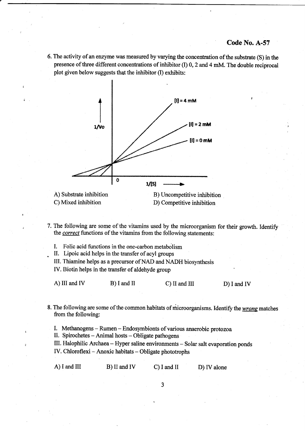6. The activity of an enzyme was measured by varying the concentration of the substate (S) in the presence of three different concentrations of inhibitor (I) 0, 2 and 4 mM. The double reciprocal plot given below suggests that the inhibitor (I) exhibits:



C) Mixed inhibition

D) Competitive inhibition

- 7. The following are some of the vitamins used by the microorganism for their growth. Identif the *correct* functions of the vitamins from the following statements:
	- I. Folic acid functions in the one-carbon metabolism
	- . U. Lipoic acid helps in the transfer of acyl groups
	- III. Thiamine helps as a precursor of NAD and NADH biosynthesis
	- IV. Biotin helps in the transfer of aldehyde group

A) III and IV B) I and II C) II and III D) I and IV

8. The following are some of the common habitats of microorganisms. Identify the *wrong* matches from the following:

I. Methanogens - Rumen - Endosymbionts of various anaerobic protozoa

II. Spirochetes  $-$  Animal hosts  $-$  Obligate pathogens

III. Halophilic Archaea- Hyper saline environments - Solar salt evaporation ponds

IV. Chloroflexi - Anoxic habitats - Obligate phototrophs

| A) I and $III$ | B) II and IV | $C$ ) I and II | D) IV alone |
|----------------|--------------|----------------|-------------|
|                |              |                |             |

 $\overline{3}$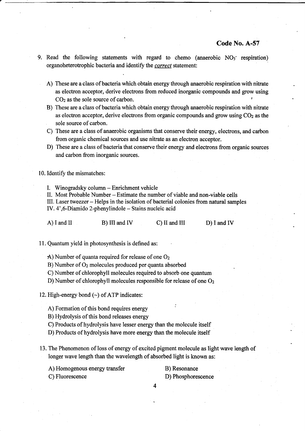- 9. Read the following statements with regard to chemo (anaerobic  $NO_3$  respiration) organoheterotrophic bacteria and identify the *correct* statement:
	- A) These are a class of bacteria which obtain energy through anaerobic respiration with nitrate as electron acceptor, derive electrons from reduced inorganic compounds and grow using  $CO<sub>2</sub>$  as the sole source of carbon.
	- B) These are a class of bacteria which obtain energy through anaerobic respiration with nitrate as electron acceptor, derive electrons from organic compounds and grow using  $CO<sub>2</sub>$  as the sole source of carbon.
	- C) These are a class of anaerobic organisms that conserve their energy, electrons, and carbon from organic chemical sources and use nitrate as an electron acceptor.
	- D) These are a class of bacteria that conserve their energy and electrons from organic sources and carbon from inorganic sources.

10. Identify the mismatches:

L Winogradsky column - Enrichment vehicle

II. Most Probable Number - Estimate the number of viable and non-viable cells

III. Laser tweezer - Helps in the isolation of bacterial colonies from natural samples

IV. 4',6-Diamido 2-phenylindole - Stains nucleic acid

| A) I and II | B) III and IV | $C)$ II and III | $D$ ) I and IV |
|-------------|---------------|-----------------|----------------|

11. Quantum yield in photosynthesis is defined as:

- A) Number of quanta required for release of one Oz
- B) Number of Oz molecules produced per quanta absorbed
- C) Number of chlorophyll molecules required to absorb one quantum
- D) Number of chlorophyll molecules responsible for release of one O<sub>2</sub>
- 12. High-energy bond  $(\sim)$  of ATP indicates:

A) Formation of this bond requires energy

B) Hydrolysis of this bond releases energy

C) Products of hydrolysis have lesser energy than the molecule itself

D) Products of hydrolysis have more energy than the molecule itself

- 13. The Phenomenon of loss of energy of excited pigment molecule as light wave length of longer wave length than the wavelength of absorbed light is known as:
	- A) Homogenous energy transfer B) Resonance

- C) Fluorescence D) Phosphorescence
	- 4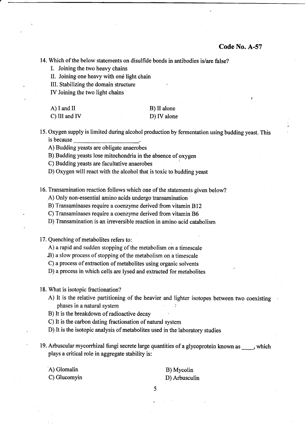14. Which of the below statements on disulfide bonds in antibodies is/are false?

I. Joining the two heavy chains

II. Joining one heavy with one light chain

III. Stabilizing the domain structure

IV Joining the two light chains

| A) I and II   | B) II alone |
|---------------|-------------|
| C) III and IV | D) IV alone |

15. Oxygen supply is limited during alcohol production by fermentation using budding yeast. This is because

A) Budding yeasts are obligate anaerobes

B) Budding yeasts lose mitochondria in the absence of oxygen

C) Budding yeasts are facultative anaerobes

D) Oxygen will react with the alcohol that is toxic to budding yeast

16. Transamination reaction follows which one of the statements given below?

A) Only non-essential amino acids undergo transamination

B) Transaminases require a coenzyme derived from vitamin B12

C) Transaminases require a coenzyme derived from vitamin 86

D) Transamination is an irreversible reaction in amino acid catabolism

17. Quenching of metabolites refers to:

A) a rapid and sudden stopping of the metabolism on a timescale

.B) a slow process of stopping of the metabolism on a timescale

C) a process of extraction of metabolites using organic solvents

D) a process in which cells are lysed and extracted for metabolites

18. What is isotopic fractionation?

A) It is the relative partitioning of the heavier and lighter isotopes between two coexisting phases in a natural system :

B) It is the breakdown of radioactive decay

C) It is the carbon dating fractionation of natural system

D) It is the isotopic analysis of metabolites used in the laboratory studies

- 19. Arbuscular mycorrhizal fungi secrete large quantities of a glycoprotein known as  $\_\_\_\_\$ which plays a critical role in aggregate stability is:
	- A) Glomalin

B) Mycolin D) Arbusculin

C) Glucomyin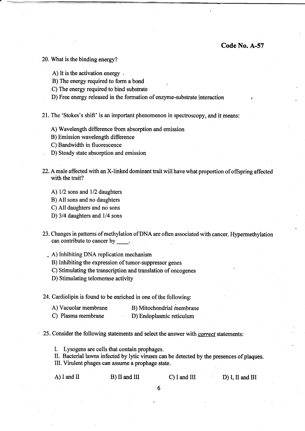20. What is the binding energy?

A) It is the activation energy .

B) The energy required to form a bond

C) The energy required to bind substrate

D) Free energy released in the formation of enzyme-substrate interaction ,

21. The 'Stokes's shift' is an important phenomenon in spectroscopy, and it means:

A) Wavelength difference from absorption and emission

B) Emission wavelength difference

,C) Bandwidth in fluorescence

. D) Steady state absorption and emission

22. A male affected with an X-linked dominant trait will have what proportion of offspring affected with the trait?

A)  $1/2$  sons and  $1/2$  daughters

B) All sons and no daughters

C) All daughters and no sons

D) 3/4 daughters and 1/4 sons

23. Changes in patterns of methylation of DNA are often associated with cancer. Hypermethylation can contribute to cancer by

. A) Inhibiting DNA replication mechanism

B) Inhibiting the expression of tumor-suppressor genes

C) Stimulating the transcription and translation of oncogenes

D) Stimulating telomerase activity

24. Cardiolipin is found to be enriched in one of the following:

| A) Vacuolar membrane | B) Mitochondrial membrane |
|----------------------|---------------------------|
| C) Plasma membrane   | D) Endoplasmic reticulum  |

25. Consider the following statements and select the answer with *correct* statements:

L Lysogens are cells that contain prophages.

II. Bacterial lawns infected by lytic viruses can be detected by the presences ofplaques. UI. Virulent phages can assume a prophage state.

A) I and II B) II and III C) I and III D) I, II and III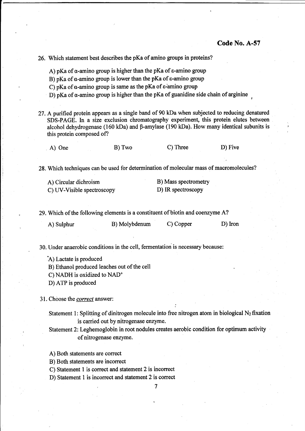,

26. Which statement best describes the pKa of amino groups in proteins?

A) pKa of  $\alpha$ -amino group is higher than the pKa of  $\varepsilon$ -amino group

B) pKa of  $\alpha$ -amino group is lower than the pKa of  $\epsilon$ -amino group

C) pKa of  $\alpha$ -amino group is same as the pKa of  $\varepsilon$ -amino group

D) pKa of  $\alpha$ -amino group is higher than the pKa of guanidine side chain of arginine

27. Apurified protein appears as a single band of 90 kDa when subjected to reducing denatured SDS-PAGE. In a size exclusion chromatography experiment, this protein elutes between alcohol dehydrogenase (160 kDa) and  $\beta$ -amylase (190 kDa). How many identical subunits is this protein composed of?

A) One B) Two C) Three D) Five

28. Which techniques can be used for determination of molecular mass of macromolecules?

| A) Circular dichroism      | B) Mass spectrometry |
|----------------------------|----------------------|
| C) UV-Visible spectroscopy | D) IR spectroscopy   |

29. Which of the following elements is a constituent of biotin and coenzyme A?

| A) Sulphur | B) Molybdenum | C) Copper | D) Iron |
|------------|---------------|-----------|---------|

30. Under anaerobic conditions in the cell, fermentation is necessary because:

:A) Lactate is produced

B) Ethanol produced leaches out of the cell

C) NADH is oxidized to NAD+

D) ATP is produced

31. Choose the *correct* answer:

Statement 1: Splitting of dinitrogen molecule into free nitrogen atom in biological  $N_2$  fixation is carried out by nitrogenase enzyme.

;

Statement 2: Leghemoglobin in root nodules creates aerobic condition for optimum activity of nitrogenase enzyme.

A) Both statements are correct

B) Both statements are incorrect

C) Statement 1 is correct and statement 2 is incorrect

D) Statement 1 is incorrect and statement 2 is oorrect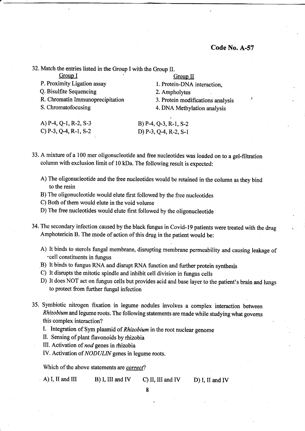32. Match the entries listed in the Group I with the Group II. Group I Group I Group II

| VΗ<br>U |  |
|---------|--|
|         |  |

P. Proximity Ligation assay 1. Protein-DNA interaction,

- Q. Bisulfite Sequencing 2. Ampholytes
- R. Chromatin Immunoprecipitation 3. Protein modifications analysis S. Chromatofocusing 4. DNA Methylation analysis
- 

4. DNA Methylation analysis

A) P-4, Q-1, R-2, S-3 B) P-4, Q-3, R-1, S-2 c) P-3, Q-4, R-1, S-2 D) P-3, Q-4, R-2, S-1

33. A mixture of a 100 mer oligonucleotide and free nucleotides was loaded on to a gel-filtration column with exclusion limit of l0 kDa. The following result is expected:

- A) The oligonucleotide and the free nucleotides would be retained in the column as they bind to the resin
- B) The oligonucleotide would elute first followed by the free nucleotides
- C) Both of them would elute in the void volume

D) The free nucleotides would elute first followed by the oligonucleotide

- 34. The secondary infection caused by the black fungus in Covid-l9 patients were treated with the drug Amphotericin B. The mode of action of this drug in the patient would be:
	- A) It binds to sterols fungal membrane, disrupting membrane permeability and causing leakage of 'cell constituents in fungus
	- B) It binds to fungus RNA and disrupt RNA function and further protein synthesis
	- c) It disrupts the mitotic spindle and inhibit cell division in fungus cells
	- D) It does NOT act on fungus cells but provides acid and base layer to the patient's brain and lungs to protect from further fungal infection
- 35. Symbiotic nitrogen fixation in legume nodules involves a complex interaction between Rhizobium and legume roots. The following statements are made while studying what govems this complex interaction?
	- I. Integration of Sym plasmid of Rhizobium in the root nuclear genome

II. Sensing of plant flavonoids by rhizobia

III. Activation of nod genes in rhizobia

IV. Activation of NODULIN genes in legume roots.

Which of the above statements are correct?

 $(A)$  I, II and III B) I, III and IV C) II, III and IV D) I, II and IV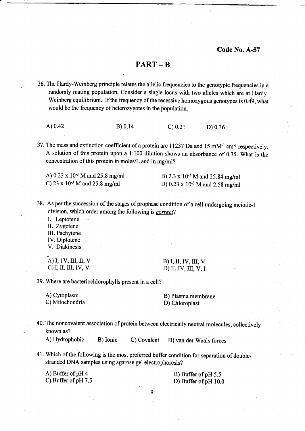## PART - B

36. The Hardy-Weinberg principle relates the allelic frequencies to the genotypic frequencies in <sup>a</sup> randomly mating population. Consider a single locus with two alleles which are at Hardy-Weinberg equilibrium. If the frequency of the recessive homozygous genotypes is 0.49, what would be the frequency of heterozygotes in the population.

A) 0.42 B) 0.14 C) 0.21 D) 0.36

37. The mass and extinction coefficient of a protein are 11237 Da and 15 mM-l cm-l respectively. A solution of this protein upon a 1:100 dilution shows an absorbance of 0.35. What is the concentration of this protein in moles/L and in mg/ml?

A)  $0.23 \times 10^{-3}$  M and  $25.8$  mg/ml<br>
B)  $2.3 \times 10^{-3}$  M and  $25.84$  mg/ml<br>
D)  $0.23 \times 10^{-3}$  M and  $2.58$  mg/ml

D)  $0.23 \times 10^{-3}$  M and 2.58 mg/ml

38. As per the succession of the stages of prophase condition of a cell undergoing meiotic-I division, which order among the following is correct?

I. Leptotene IL Zygotene

III. Pachytene

IV. Diplotene V. Diakinesis

A) I, 1V, III, II, V<br>
C) I, II, III, IV, V<br>
D) II, IV, III, V, II

D) II, IV, III, V, I

39. Where are bacteriochlorophylls present in a cell?

A) Cytoplasm B) Plasma membrane C) Mitochondria D) Chloroplast

40. The noncovalent association of protein between electrically neutral molecules, collectively known as?

A) Hydrophobic B) Ionic c) covalent D) van der waals forces

41. Which of the following is the most prefened buffer condition for separation of doublestranded DNA samples using agarose gel electrophoresis?

A) Buffer of pH 4 B) Buffer of pH 5.5<br>
C) Buffer of pH 7.5<br>
D) Buffer of nH 10.

D) Buffer of  $pH$  10.0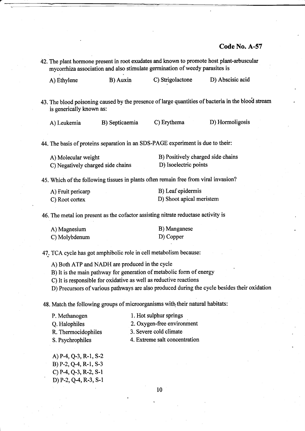42. The plant hormone present in root exudates and known to promote host plant-arbuscular mycorrhiza association and also stimulate germination of weedy parasites is

| A) Ethylene | B) Auxin | C) Strigolactone | D) Abscisic acid |
|-------------|----------|------------------|------------------|
|             |          |                  |                  |

43. The blood poisoning caused by the presence of large quantities of bacteria in the blood stream is generically known as:

| A) Leukemia | B) Septicaemia | C) Erythema | D) Hormoligosis |
|-------------|----------------|-------------|-----------------|
|-------------|----------------|-------------|-----------------|

44. The basis of proteins separation in an SDS-PAGE experiment is due to their:

| A) Molecular weight               | B) Positively charged side chains |
|-----------------------------------|-----------------------------------|
| C) Negatively charged side chains | D) Isoelectric points             |

45. Which of the following tissues in plants often remain free from viral invasion?

| A) Fruit pericarp | B) Leaf epidermis        |
|-------------------|--------------------------|
| C) Root cortex    | D) Shoot apical meristem |

46. The metal ion present as the cofactor assisting nitrate reductase activity is

| A) Magnesium  | B) Manganese |
|---------------|--------------|
| C) Molybdenum | D) Copper    |

47. TCA cycle has got amphibolic role in cell metabolism because:

A) Both ATP and NADH are produced in the cycle

B) It is the main pathway for generation of metabolic form of energy

C) It is responsible for oxidative as well as reductive reactions

D) Precursors of various pathways are also produced during the cycle besides their oxidation

48. Match the following groups of microorganisms with their natural habitats:

P. Methanogen Q. Halophiles R. Thermocidophiles S. Psychrophiles 1. Hot sulphur springs 2. Oxygen-free environment 3. Severe cold climate 4. Extreme salt concentration

A) P-4, Q-3, R-l, S-2 B) P-2, Q-4, R-1, S-3 c) P-4, Q-3, R-2, S-1 D) P-2, Q4, R-3, S-1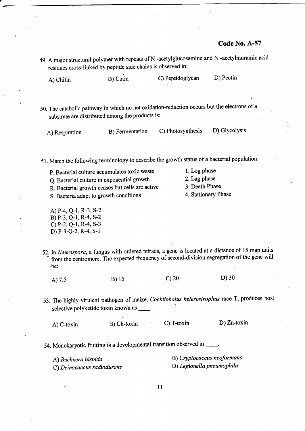residues cross-linked by peptide side chains is observed in: A) Chitin B) Cutin C) Peptidoglycan D) Pectin 50. The catabolic pathway in which no net oxidation-reduction occurs but the electrons of <sup>a</sup> substrate are distributed among the products is: A) Respiration B) Fermentation C) Photosynthesis D) Glycolysis 51. Match the following terminology to describe the growth status of a bacterial population: P. Bacterial culture accumulates toxic waste 1. Log phase<br>
O. Bacterial culture in exponential growth 2. Lag phase Q. Bacterial culture in exponential growth 2. Lag phase<br>R. Bacterial growth ceases but cells are active 3. Death Phase R. Bacterial growth ceases but cells are active 3. Death Phase<br>S. Bacteria adant to growth conditions 4. Stationary Phase S. Bacteria adapt to growth conditions A) P-4, Q-I, R-3, S-2 B) P-3, Q-1, R-4, S-2 c)P-z,Q-1, R-4, S-3 D) P-3-Q-2, R-4, S-1 52. In Neurospora, a fungus with ordered tetrads, a gene is located at a distance of 15 map units from the centromere. The expected frequency of second-division segregation of the gene will 'be: A) 7.5 B) 15 C) 20 D) 30 53. The highly virulent pathogen of maize, Cochliobolus heterostrophus race T, produces host selective polyketide toxin known as A) C-toxin B) Ch-toxin C) T-toxin D) Zn-toxin 54. Monokaryotic fruiting is a developmental tansition observed in A) Buchnera hispida<br>
C) Deinococcus radiodurans<br>
C) Degionella pneumophila C) Deinococcus radiodurans tl

49. A major structural polymer with repeats of N -acetylglucosamine and N -acetylmuramic acid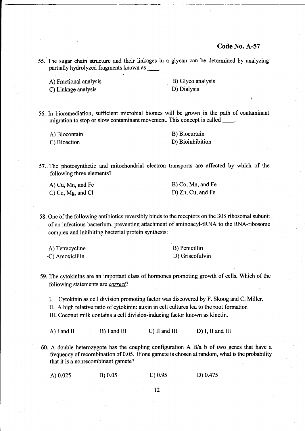55. The sugar chain structure and their linkages in a glycan can be determined by analyzing partially hydrolyzed fragments known as \_\_\_\_\_.

A) Fractional analysis B) Glyco analysis

C) Linkage analysis D) Dialysis

56. In bioremediation, suffrcient microbial biomes will be grown in the path of contaminant migration to stop or slow contaminant movement. This concept is called:.

A) Biocontain B) Biocurtain C) Bioaction D) Bioinhibition

57. The photosynthetic and mitochondrial electron transports are affected by which of the following three elements?

| A) Cu, Mn, and Fe        | B) Co, Mn, and Fe |
|--------------------------|-------------------|
| C) Cu, Mg, and Cl $\Box$ | D) Zn, Cu, and Fe |

58. One of the following antibiotics reversibly binds to the receptors on the 30S ribosomal subunit of an infectious bacterium, preventing attachment of aminoacyl-tRNA to the RNA-ribosome complex and inhibiting bacterial protein synthesis:

| A) Tetracycline | B) Penicillin   |
|-----------------|-----------------|
| C) Amoxicillin  | D) Griseofulvin |

- 59. The cytokinins are an important class of hormones promoting growth of eells. Which of the following statements are *correct*?
	- I. Cytokinin as cell division promoting factor was discovered by F. Skoog and C. Miller.
	- II. A high relative ratio of cytokinin: auxin in cell cultures led to the root formation
	- III. Coconut milk contains a cell division-inducing factor known as kinetin.

A) I and II B) I and III C) II and III D) I, II and III

60. A double heterozygote has the coupling configuration A B/a b of two genes that have <sup>a</sup> frequency of recombination of 0.05. If one gamete is chosen at random, what is the probability that it is a nonrecombinant gamete?

| A) $0.025$ | B) 0.05 | $C$ ) 0.95 | D) 0.475 |
|------------|---------|------------|----------|
|            |         |            |          |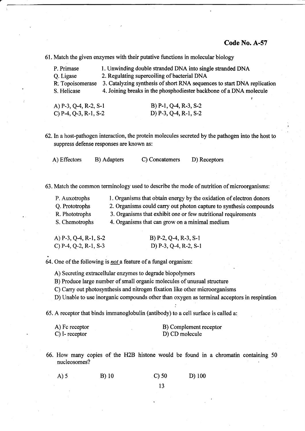61. Match the given enzymes with their putative functions in molecular biology

| P. Primase       | 1. Unwinding double stranded DNA into single stranded DNA               |
|------------------|-------------------------------------------------------------------------|
| Q. Ligase        | 2. Regulating supercoiling of bacterial DNA                             |
| R. Topoisomerase | 3. Catalyzing synthesis of short RNA sequences to start DNA replication |
| S. Helicase      | 4. Joining breaks in the phosphodiester backbone of a DNA molecule      |
|                  |                                                                         |
|                  |                                                                         |

| A) P-3, Q-4, R-2, S-1 | B) P-1, Q-4, R-3, S-2 |
|-----------------------|-----------------------|
| C) P-4, Q-3, R-1, S-2 | D) P-3, Q-4, R-1, S-2 |

62. In a host-pathogen interaction, the protein molecules secreted by the pathogen into the host to suppress defense responses are known as:

A) Effectors B) Adapters C) Concatemers D) Receptors

63. Match the common terminology used to describe the mode of nutrition of microorganisms:

| P. Auxotrophs  | 1. Organisms that obtain energy by the oxidation of electron donors |
|----------------|---------------------------------------------------------------------|
| Q. Prototrophs | 2. Organisms could carry out photon capture to synthesis compounds  |
| R. Phototrophs | 3. Organisms that exhibit one or few nutritional requirements       |
| S. Chemotrophs | 4. Organisms that can grow on a minimal medium                      |

| A) P-3, Q-4, R-1, S-2 | B) $P-2$ , $Q-4$ , $R-3$ , $S-1$ |
|-----------------------|----------------------------------|
| C) P-4, Q-2, R-1, S-3 | D) $P-3$ , Q-4, R-2, S-1         |

64. One of the following is *not* a feature of a fungal organism:

A) Secreting extracellular enzymes to degrade biopolymers

B) Produce large number of small organic molecules of unusual structure

- C) Carry out photosynthesis and nitrogen fixation like other microorganisms
- D) Unable to use inorganic compounds other than oxygen as terminal acceptors in respiration

:

65. A receptor that binds immunoglobulin (antibody) to a cell surface is called a:

| A) Fc receptor | B) Complement receptor |
|----------------|------------------------|
| C) I- receptor | D) CD molecule         |

66. How many copies of the H2B histone would be found in a chromatin containing <sup>50</sup> nucleosomes?

c) 50 D) <sup>100</sup> A)5 B)10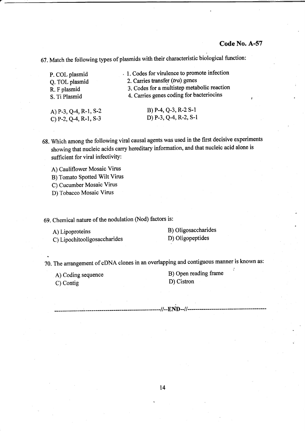67. Match the following types of plasmids with their characteristic biological function:

| P. COL plasmid           | . 1. Codes for virulence to promote infection |
|--------------------------|-----------------------------------------------|
| O. TOL plasmid           | 2. Carries transfer (tra) genes               |
| R. F plasmid             | 3. Codes for a multistep metabolic reaction   |
| S. Ti Plasmid            | 4. Carries genes coding for bacteriocins      |
| A) $P-3$ , Q-4, R-1, S-2 | $B)$ P-4, Q-3, R-2 S-1                        |

c)P-2,Q-4, R-1, S-3 D) P-3, Q-4, R-2, S-1

68. Which among the following viral causal agents was used in the first decisive experiments showing that nucleic acids carry hereditary information, and that nucleic acid alone is sufficient for viral infectivity:

A) Cauliflower Mosaic Virus

- B) Tomato Spotted Wilt Virus
- C) Cucumber Mosaic Virus
- D) Tobacco Mosaic Virus

69. Chemical nature of the nodulation (Nod) factors is:

A) Lipoproteins B) Oligosaccharides<br>C) Lipochitooligosaccharides D) Oligopeptides C) Lipochitooligosaccharides

70. The arrangement of cDNA clones in an overlapping and contiguous manner is known as:

C) Contig D) Cistron

A) Coding sequence B) Open reading frame

-//--END--//------------------

t4